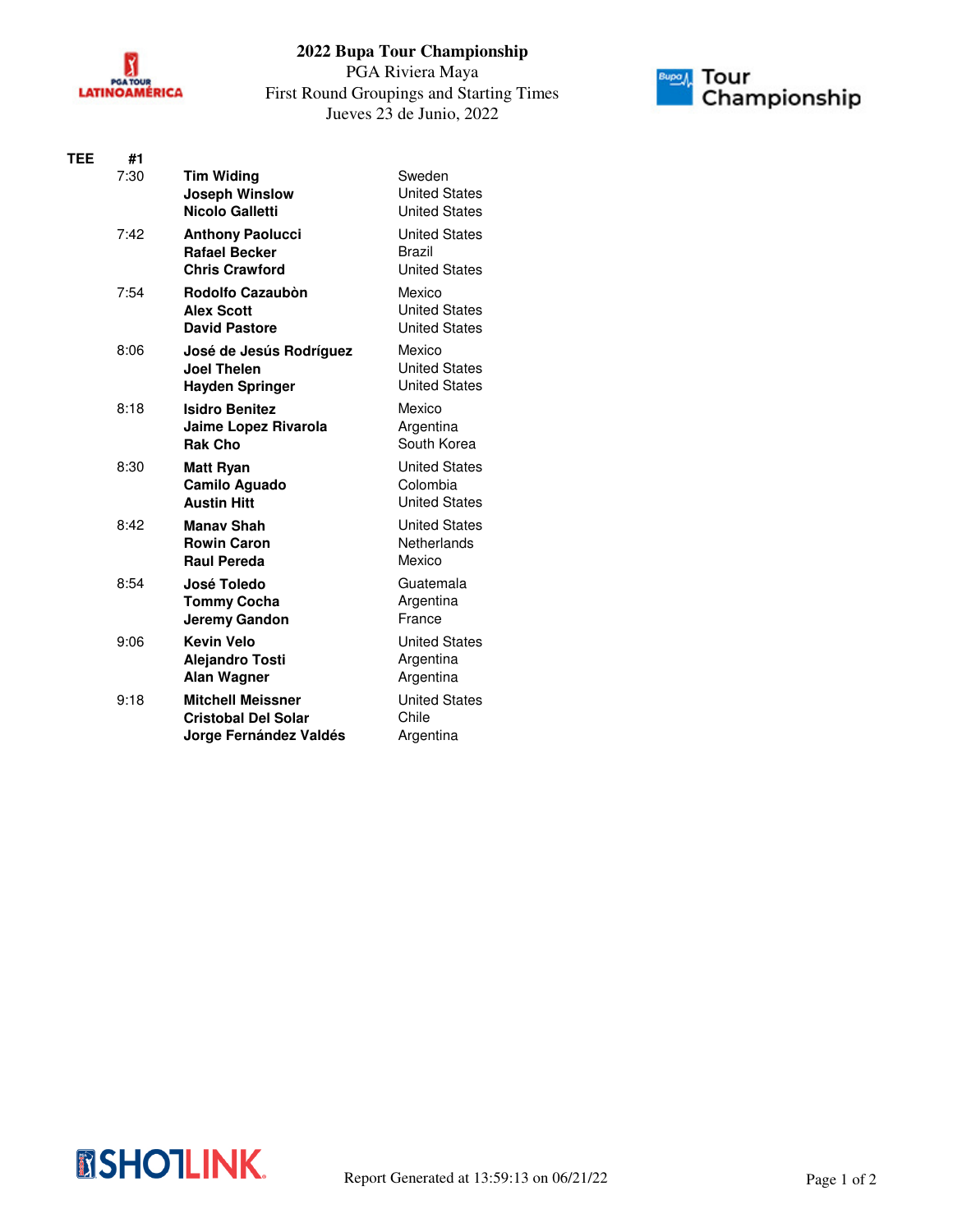

## **2022 Bupa Tour Championship**

PGA Riviera Maya First Round Groupings and Starting Times Jueves 23 de Junio, 2022



| TEE | #1   |                                                                                  |                                                          |
|-----|------|----------------------------------------------------------------------------------|----------------------------------------------------------|
|     | 7:30 | <b>Tim Widing</b><br><b>Joseph Winslow</b><br>Nicolo Galletti                    | Sweden<br><b>United States</b><br><b>United States</b>   |
|     | 7:42 | <b>Anthony Paolucci</b><br><b>Rafael Becker</b><br><b>Chris Crawford</b>         | <b>United States</b><br>Brazil<br><b>United States</b>   |
|     | 7:54 | <b>Rodolfo Cazaubòn</b><br><b>Alex Scott</b><br><b>David Pastore</b>             | Mexico<br><b>United States</b><br><b>United States</b>   |
|     | 8:06 | José de Jesús Rodríguez<br><b>Joel Thelen</b><br><b>Hayden Springer</b>          | Mexico<br><b>United States</b><br><b>United States</b>   |
|     | 8:18 | <b>Isidro Benitez</b><br>Jaime Lopez Rivarola<br><b>Rak Cho</b>                  | Mexico<br>Argentina<br>South Korea                       |
|     | 8:30 | <b>Matt Ryan</b><br><b>Camilo Aguado</b><br><b>Austin Hitt</b>                   | <b>United States</b><br>Colombia<br><b>United States</b> |
|     | 8:42 | <b>Manav Shah</b><br><b>Rowin Caron</b><br><b>Raul Pereda</b>                    | <b>United States</b><br>Netherlands<br>Mexico            |
|     | 8:54 | José Toledo<br><b>Tommy Cocha</b><br><b>Jeremy Gandon</b>                        | Guatemala<br>Argentina<br>France                         |
|     | 9:06 | <b>Kevin Velo</b><br><b>Alejandro Tosti</b><br><b>Alan Wagner</b>                | <b>United States</b><br>Argentina<br>Argentina           |
|     | 9:18 | <b>Mitchell Meissner</b><br><b>Cristobal Del Solar</b><br>Jorge Fernández Valdés | <b>United States</b><br>Chile<br>Argentina               |